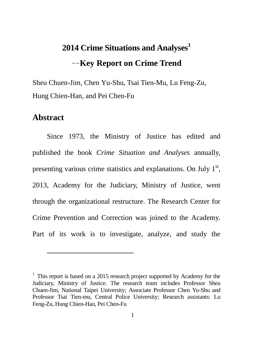# **2014 Crime Situations and Analyses<sup>1</sup>** --**Key Report on Crime Trend**

Sheu Chuen-Jim, Chen Yu-Shu, Tsai Tien-Mu, Lu Feng-Zu, Hung Chien-Han, and Pei Chen-Fu

#### **Abstract**

 $\overline{a}$ 

Since 1973, the Ministry of Justice has edited and published the book *Crime Situation and Analyses* annually, presenting various crime statistics and explanations. On July  $1<sup>st</sup>$ , 2013, Academy for the Judiciary, Ministry of Justice, went through the organizational restructure. The Research Center for Crime Prevention and Correction was joined to the Academy. Part of its work is to investigate, analyze, and study the

 $1$ . This report is based on a 2015 research project supported by Academy for the Judiciary, Ministry of Justice. The research team includes Professor Sheu Chuen-Jim, National Taipei University; Associate Professor Chen Yu-Shu and Professor Tsai Tien-mu, Central Police University; Research assistants: Lu Feng-Zu, Hung Chien-Han, Pei Chen-Fu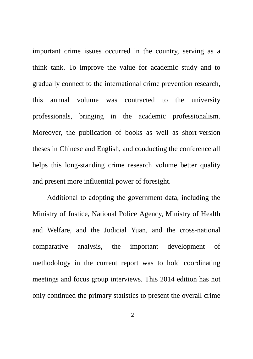important crime issues occurred in the country, serving as a think tank. To improve the value for academic study and to gradually connect to the international crime prevention research, this annual volume was contracted to the university professionals, bringing in the academic professionalism. Moreover, the publication of books as well as short-version theses in Chinese and English, and conducting the conference all helps this long-standing crime research volume better quality and present more influential power of foresight.

Additional to adopting the government data, including the Ministry of Justice, National Police Agency, Ministry of Health and Welfare, and the Judicial Yuan, and the cross-national comparative analysis, the important development of methodology in the current report was to hold coordinating meetings and focus group interviews. This 2014 edition has not only continued the primary statistics to present the overall crime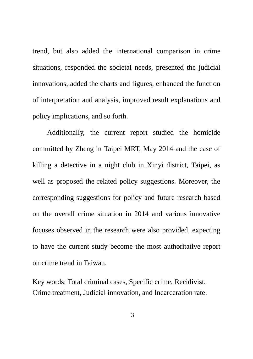trend, but also added the international comparison in crime situations, responded the societal needs, presented the judicial innovations, added the charts and figures, enhanced the function of interpretation and analysis, improved result explanations and policy implications, and so forth.

Additionally, the current report studied the homicide committed by Zheng in Taipei MRT, May 2014 and the case of killing a detective in a night club in Xinyi district, Taipei, as well as proposed the related policy suggestions. Moreover, the corresponding suggestions for policy and future research based on the overall crime situation in 2014 and various innovative focuses observed in the research were also provided, expecting to have the current study become the most authoritative report on crime trend in Taiwan.

Key words: Total criminal cases, Specific crime, Recidivist, Crime treatment, Judicial innovation, and Incarceration rate.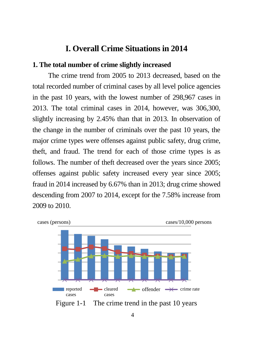#### **I. Overall Crime Situations in 2014**

#### **1. The total number of crime slightly increased**

The crime trend from 2005 to 2013 decreased, based on the total recorded number of criminal cases by all level police agencies in the past 10 years, with the lowest number of 298,967 cases in 2013. The total criminal cases in 2014, however, was 306,300, slightly increasing by 2.45% than that in 2013. In observation of the change in the number of criminals over the past 10 years, the major crime types were offenses against public safety, drug crime, theft, and fraud. The trend for each of those crime types is as follows. The number of theft decreased over the years since 2005; offenses against public safety increased every year since 2005; fraud in 2014 increased by 6.67% than in 2013; drug crime showed descending from 2007 to 2014, except for the 7.58% increase from 2009 to 2010.

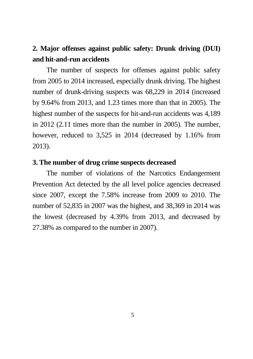### **2. Major offenses against public safety: Drunk driving (DUI) and hit-and-run accidents**

The number of suspects for offenses against public safety from 2005 to 2014 increased, especially drunk driving. The highest number of drunk-driving suspects was 68,229 in 2014 (increased by 9.64% from 2013, and 1.23 times more than that in 2005). The highest number of the suspects for hit-and-run accidents was 4,189 in 2012 (2.11 times more than the number in 2005). The number, however, reduced to 3,525 in 2014 (decreased by 1.16% from 2013).

#### **3. The number of drug crime suspects decreased**

The number of violations of the Narcotics Endangerment Prevention Act detected by the all level police agencies decreased since 2007, except the 7.58% increase from 2009 to 2010. The number of 52,835 in 2007 was the highest, and 38,369 in 2014 was the lowest (decreased by 4.39% from 2013, and decreased by 27.38% as compared to the number in 2007).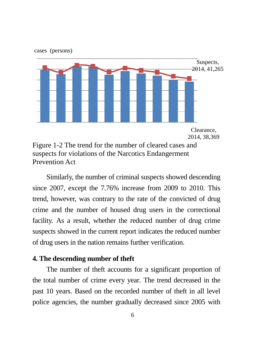

Prevention Act

Similarly, the number of criminal suspects showed descending since 2007, except the 7.76% increase from 2009 to 2010. This trend, however, was contrary to the rate of the convicted of drug crime and the number of housed drug users in the correctional facility. As a result, whether the reduced number of drug crime suspects showed in the current report indicates the reduced number of drug users in the nation remains further verification.

#### **4. The descending number of theft**

The number of theft accounts for a significant proportion of the total number of crime every year. The trend decreased in the past 10 years. Based on the recorded number of theft in all level police agencies, the number gradually decreased since 2005 with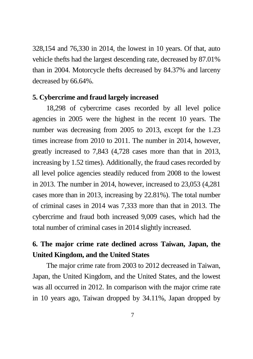328,154 and 76,330 in 2014, the lowest in 10 years. Of that, auto vehicle thefts had the largest descending rate, decreased by 87.01% than in 2004. Motorcycle thefts decreased by 84.37% and larceny decreased by 66.64%.

#### **5. Cybercrime and fraud largely increased**

18,298 of cybercrime cases recorded by all level police agencies in 2005 were the highest in the recent 10 years. The number was decreasing from 2005 to 2013, except for the 1.23 times increase from 2010 to 2011. The number in 2014, however, greatly increased to 7,843 (4,728 cases more than that in 2013, increasing by 1.52 times). Additionally, the fraud cases recorded by all level police agencies steadily reduced from 2008 to the lowest in 2013. The number in 2014, however, increased to 23,053 (4,281 cases more than in 2013, increasing by 22.81%). The total number of criminal cases in 2014 was 7,333 more than that in 2013. The cybercrime and fraud both increased 9,009 cases, which had the total number of criminal cases in 2014 slightly increased.

### **6. The major crime rate declined across Taiwan, Japan, the United Kingdom, and the United States**

The major crime rate from 2003 to 2012 decreased in Taiwan, Japan, the United Kingdom, and the United States, and the lowest was all occurred in 2012. In comparison with the major crime rate in 10 years ago, Taiwan dropped by 34.11%, Japan dropped by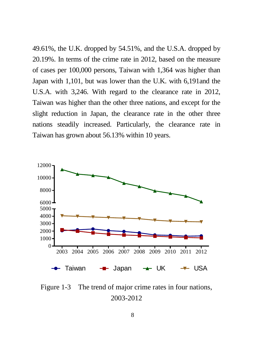49.61%, the U.K. dropped by 54.51%, and the U.S.A. dropped by 20.19%. In terms of the crime rate in 2012, based on the measure of cases per 100,000 persons, Taiwan with 1,364 was higher than Japan with 1,101, but was lower than the U.K. with 6,191and the U.S.A. with 3,246. With regard to the clearance rate in 2012, Taiwan was higher than the other three nations, and except for the slight reduction in Japan, the clearance rate in the other three nations steadily increased. Particularly, the clearance rate in Taiwan has grown about 56.13% within 10 years.



Figure 1-3 The trend of major crime rates in four nations, 2003-2012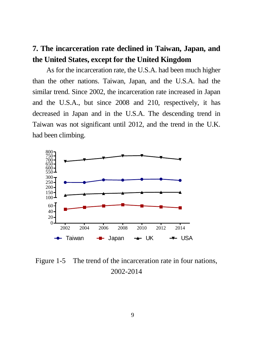## **7. The incarceration rate declined in Taiwan, Japan, and the United States, except for the United Kingdom**

As for the incarceration rate, the U.S.A. had been much higher than the other nations. Taiwan, Japan, and the U.S.A. had the similar trend. Since 2002, the incarceration rate increased in Japan and the U.S.A., but since 2008 and 210, respectively, it has decreased in Japan and in the U.S.A. The descending trend in Taiwan was not significant until 2012, and the trend in the U.K. had been climbing.



Figure 1-5 The trend of the incarceration rate in four nations, 2002-2014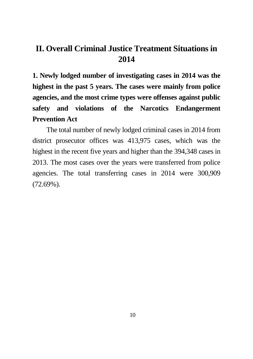## **II. Overall Criminal Justice Treatment Situations in 2014**

**1. Newly lodged number of investigating cases in 2014 was the highest in the past 5 years. The cases were mainly from police agencies, and the most crime types were offenses against public safety and violations of the Narcotics Endangerment Prevention Act**

The total number of newly lodged criminal cases in 2014 from district prosecutor offices was 413,975 cases, which was the highest in the recent five years and higher than the 394,348 cases in 2013. The most cases over the years were transferred from police agencies. The total transferring cases in 2014 were 300,909 (72.69%).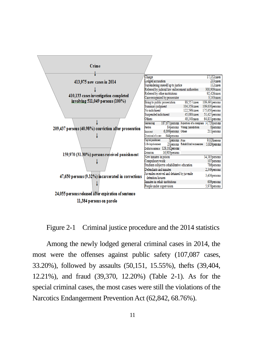

Figure 2-1 Criminal justice procedure and the 2014 statistics

Among the newly lodged general criminal cases in 2014, the most were the offenses against public safety (107,087 cases, 33.20%), followed by assaults (50,151, 15.55%), thefts (39,404, 12.21%), and fraud (39,370, 12.20%) (Table 2-1). As for the special criminal cases, the most cases were still the violations of the Narcotics Endangerment Prevention Act (62,842, 68.76%).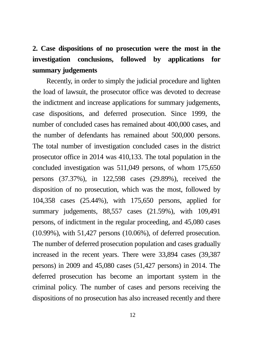## **2. Case dispositions of no prosecution were the most in the investigation conclusions, followed by applications for summary judgements**

Recently, in order to simply the judicial procedure and lighten the load of lawsuit, the prosecutor office was devoted to decrease the indictment and increase applications for summary judgements, case dispositions, and deferred prosecution. Since 1999, the number of concluded cases has remained about 400,000 cases, and the number of defendants has remained about 500,000 persons. The total number of investigation concluded cases in the district prosecutor office in 2014 was 410,133. The total population in the concluded investigation was 511,049 persons, of whom 175,650 persons (37.37%), in 122,598 cases (29.89%), received the disposition of no prosecution, which was the most, followed by 104,358 cases (25.44%), with 175,650 persons, applied for summary judgements, 88,557 cases (21.59%), with 109,491 persons, of indictment in the regular proceeding, and 45,080 cases (10.99%), with 51,427 persons (10.06%), of deferred prosecution. The number of deferred prosecution population and cases gradually increased in the recent years. There were 33,894 cases (39,387 persons) in 2009 and 45,080 cases (51,427 persons) in 2014. The deferred prosecution has become an important system in the criminal policy. The number of cases and persons receiving the dispositions of no prosecution has also increased recently and there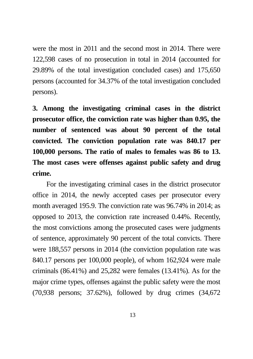were the most in 2011 and the second most in 2014. There were 122,598 cases of no prosecution in total in 2014 (accounted for 29.89% of the total investigation concluded cases) and 175,650 persons (accounted for 34.37% of the total investigation concluded persons).

**3. Among the investigating criminal cases in the district prosecutor office, the conviction rate was higher than 0.95, the number of sentenced was about 90 percent of the total convicted. The conviction population rate was 840.17 per 100,000 persons. The ratio of males to females was 86 to 13. The most cases were offenses against public safety and drug crime.** 

For the investigating criminal cases in the district prosecutor office in 2014, the newly accepted cases per prosecutor every month averaged 195.9. The conviction rate was 96.74% in 2014; as opposed to 2013, the conviction rate increased 0.44%. Recently, the most convictions among the prosecuted cases were judgments of sentence, approximately 90 percent of the total convicts. There were 188,557 persons in 2014 (the conviction population rate was 840.17 persons per 100,000 people), of whom 162,924 were male criminals (86.41%) and 25,282 were females (13.41%). As for the major crime types, offenses against the public safety were the most (70,938 persons; 37.62%), followed by drug crimes (34,672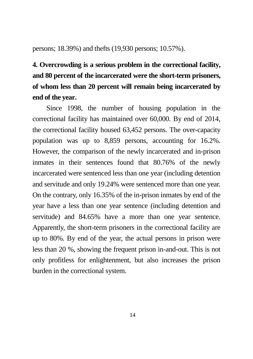persons; 18.39%) and thefts (19,930 persons; 10.57%).

## **4. Overcrowding is a serious problem in the correctional facility, and 80 percent of the incarcerated were the short-term prisoners, of whom less than 20 percent will remain being incarcerated by end of the year.**

Since 1998, the number of housing population in the correctional facility has maintained over 60,000. By end of 2014, the correctional facility housed 63,452 persons. The over-capacity population was up to 8,859 persons, accounting for 16.2%. However, the comparison of the newly incarcerated and in-prison inmates in their sentences found that 80.76% of the newly incarcerated were sentenced less than one year (including detention and servitude and only 19.24% were sentenced more than one year. On the contrary, only 16.35% of the in-prison inmates by end of the year have a less than one year sentence (including detention and servitude) and 84.65% have a more than one year sentence. Apparently, the short-term prisoners in the correctional facility are up to 80%. By end of the year, the actual persons in prison were less than 20 %, showing the frequent prison in-and-out. This is not only profitless for enlightenment, but also increases the prison burden in the correctional system.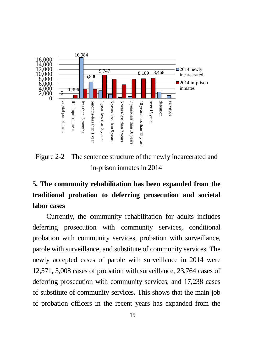

Figure 2-2 The sentence structure of the newly incarcerated and in-prison inmates in 2014

## **5. The community rehabilitation has been expanded from the traditional probation to deferring prosecution and societal labor cases**

Currently, the community rehabilitation for adults includes deferring prosecution with community services, conditional probation with community services, probation with surveillance, parole with surveillance, and substitute of community services. The newly accepted cases of parole with surveillance in 2014 were 12,571, 5,008 cases of probation with surveillance, 23,764 cases of deferring prosecution with community services, and 17,238 cases of substitute of community services. This shows that the main job of probation officers in the recent years has expanded from the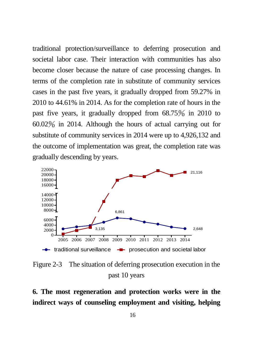traditional protection/surveillance to deferring prosecution and societal labor case. Their interaction with communities has also become closer because the nature of case processing changes. In terms of the completion rate in substitute of community services cases in the past five years, it gradually dropped from 59.27% in 2010 to 44.61% in 2014. As for the completion rate of hours in the past five years, it gradually dropped from 68.75% in 2010 to 60.02% in 2014. Although the hours of actual carrying out for substitute of community services in 2014 were up to 4,926,132 and the outcome of implementation was great, the completion rate was gradually descending by years.



Figure 2-3 The situation of deferring prosecution execution in the past 10 years

**6. The most regeneration and protection works were in the indirect ways of counseling employment and visiting, helping**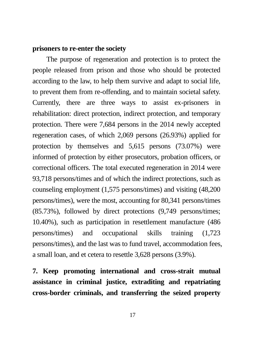#### **prisoners to re-enter the society**

The purpose of regeneration and protection is to protect the people released from prison and those who should be protected according to the law, to help them survive and adapt to social life, to prevent them from re-offending, and to maintain societal safety. Currently, there are three ways to assist ex-prisoners in rehabilitation: direct protection, indirect protection, and temporary protection. There were 7,684 persons in the 2014 newly accepted regeneration cases, of which 2,069 persons (26.93%) applied for protection by themselves and 5,615 persons (73.07%) were informed of protection by either prosecutors, probation officers, or correctional officers. The total executed regeneration in 2014 were 93,718 persons/times and of which the indirect protections, such as counseling employment (1,575 persons/times) and visiting (48,200 persons/times), were the most, accounting for 80,341 persons/times (85.73%), followed by direct protections (9,749 persons/times; 10.40%), such as participation in resettlement manufacture (486 persons/times) and occupational skills training (1,723 persons/times), and the last was to fund travel, accommodation fees, a small loan, and et cetera to resettle 3,628 persons (3.9%).

**7. Keep promoting international and cross-strait mutual assistance in criminal justice, extraditing and repatriating cross-border criminals, and transferring the seized property**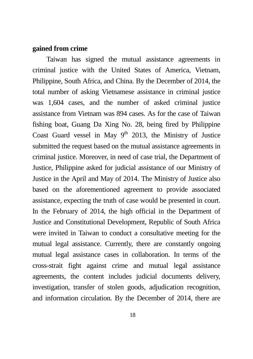#### **gained from crime**

Taiwan has signed the mutual assistance agreements in criminal justice with the United States of America, Vietnam, Philippine, South Africa, and China. By the December of 2014, the total number of asking Vietnamese assistance in criminal justice was 1,604 cases, and the number of asked criminal justice assistance from Vietnam was 894 cases. As for the case of Taiwan fishing boat, Guang Da Xing No. 28, being fired by Philippine Coast Guard vessel in May  $9<sup>th</sup>$  2013, the Ministry of Justice submitted the request based on the mutual assistance agreements in criminal justice. Moreover, in need of case trial, the Department of Justice, Philippine asked for judicial assistance of our Ministry of Justice in the April and May of 2014. The Ministry of Justice also based on the aforementioned agreement to provide associated assistance, expecting the truth of case would be presented in court. In the February of 2014, the high official in the Department of Justice and Constitutional Development, Republic of South Africa were invited in Taiwan to conduct a consultative meeting for the mutual legal assistance. Currently, there are constantly ongoing mutual legal assistance cases in collaboration. In terms of the cross-strait fight against crime and mutual legal assistance agreements, the content includes judicial documents delivery, investigation, transfer of stolen goods, adjudication recognition, and information circulation. By the December of 2014, there are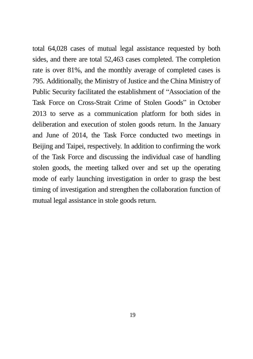total 64,028 cases of mutual legal assistance requested by both sides, and there are total 52,463 cases completed. The completion rate is over 81%, and the monthly average of completed cases is 795. Additionally, the Ministry of Justice and the China Ministry of Public Security facilitated the establishment of "Association of the Task Force on Cross-Strait Crime of Stolen Goods" in October 2013 to serve as a communication platform for both sides in deliberation and execution of stolen goods return. In the January and June of 2014, the Task Force conducted two meetings in Beijing and Taipei, respectively. In addition to confirming the work of the Task Force and discussing the individual case of handling stolen goods, the meeting talked over and set up the operating mode of early launching investigation in order to grasp the best timing of investigation and strengthen the collaboration function of mutual legal assistance in stole goods return.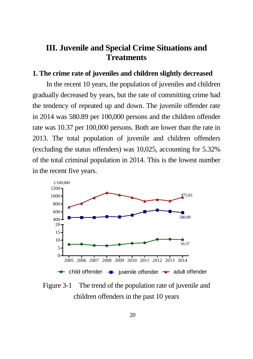### **III. Juvenile and Special Crime Situations and Treatments**

#### **1. The crime rate of juveniles and children slightly decreased**

In the recent 10 years, the population of juveniles and children gradually decreased by years, but the rate of committing crime had the tendency of repeated up and down. The juvenile offender rate in 2014 was 580.89 per 100,000 persons and the children offender rate was 10.37 per 100,000 persons. Both are lower than the rate in 2013. The total population of juvenile and children offenders (excluding the status offenders) was 10,025, accounting for 5.32% of the total criminal population in 2014. This is the lowest number in the recent five years.



Figure 3-1 The trend of the population rate of juvenile and children offenders in the past 10 years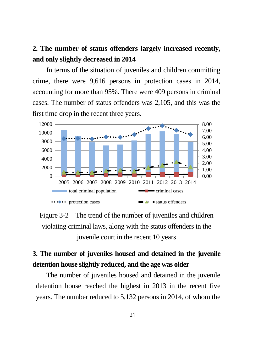### **2. The number of status offenders largely increased recently, and only slightly decreased in 2014**

In terms of the situation of juveniles and children committing crime, there were 9,616 persons in protection cases in 2014, accounting for more than 95%. There were 409 persons in criminal cases. The number of status offenders was 2,105, and this was the first time drop in the recent three years.





### **3. The number of juveniles housed and detained in the juvenile detention house slightly reduced, and the age was older**

The number of juveniles housed and detained in the juvenile detention house reached the highest in 2013 in the recent five years. The number reduced to 5,132 persons in 2014, of whom the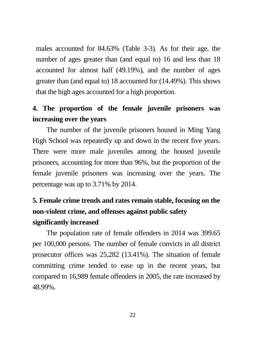males accounted for 84.63% (Table 3-3). As for their age, the number of ages greater than (and equal to) 16 and less than 18 accounted for almost half (49.19%), and the number of ages greater than (and equal to) 18 accounted for (14.49%). This shows that the high ages accounted for a high proportion.

### **4. The proportion of the female juvenile prisoners was increasing over the years**

The number of the juvenile prisoners housed in Ming Yang High School was repeatedly up and down in the recent five years. There were more male juveniles among the housed juvenile prisoners, accounting for more than 96%, but the proportion of the female juvenile prisoners was increasing over the years. The percentage was up to 3.71% by 2014.

### **5. Female crime trends and rates remain stable, focusing on the non-violent crime, and offenses against public safety significantly increased**

The population rate of female offenders in 2014 was 399.65 per 100,000 persons. The number of female convicts in all district prosecutor offices was 25,282 (13.41%). The situation of female committing crime tended to ease up in the recent years, but compared to 16,989 female offenders in 2005, the rate increased by 48.99%.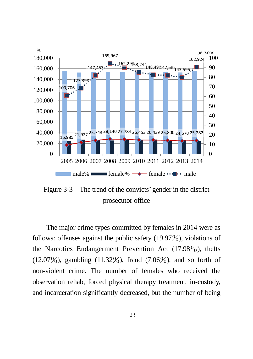

Figure 3-3 The trend of the convicts' gender in the district prosecutor office

The major crime types committed by females in 2014 were as follows: offenses against the public safety (19.97%), violations of the Narcotics Endangerment Prevention Act (17.98%), thefts  $(12.07\%)$ , gambling  $(11.32\%)$ , fraud  $(7.06\%)$ , and so forth of non-violent crime. The number of females who received the observation rehab, forced physical therapy treatment, in-custody, and incarceration significantly decreased, but the number of being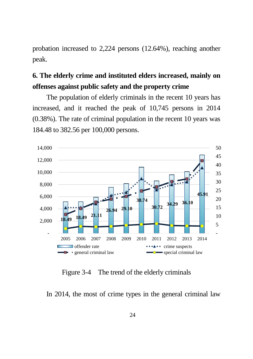probation increased to 2,224 persons (12.64%), reaching another peak.

### **6. The elderly crime and instituted elders increased, mainly on offenses against public safety and the property crime**

The population of elderly criminals in the recent 10 years has increased, and it reached the peak of 10,745 persons in 2014 (0.38%). The rate of criminal population in the recent 10 years was 184.48 to 382.56 per 100,000 persons.



Figure 3-4 The trend of the elderly criminals

In 2014, the most of crime types in the general criminal law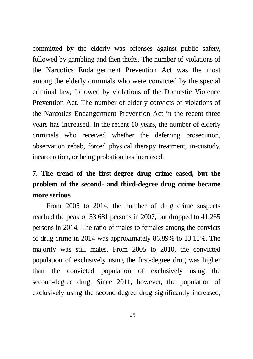committed by the elderly was offenses against public safety, followed by gambling and then thefts. The number of violations of the Narcotics Endangerment Prevention Act was the most among the elderly criminals who were convicted by the special criminal law, followed by violations of the Domestic Violence Prevention Act. The number of elderly convicts of violations of the Narcotics Endangerment Prevention Act in the recent three years has increased. In the recent 10 years, the number of elderly criminals who received whether the deferring prosecution, observation rehab, forced physical therapy treatment, in-custody, incarceration, or being probation has increased.

## **7. The trend of the first-degree drug crime eased, but the problem of the second- and third-degree drug crime became more serious**

From 2005 to 2014, the number of drug crime suspects reached the peak of 53,681 persons in 2007, but dropped to 41,265 persons in 2014. The ratio of males to females among the convicts of drug crime in 2014 was approximately 86.89% to 13.11%. The majority was still males. From 2005 to 2010, the convicted population of exclusively using the first-degree drug was higher than the convicted population of exclusively using the second-degree drug. Since 2011, however, the population of exclusively using the second-degree drug significantly increased,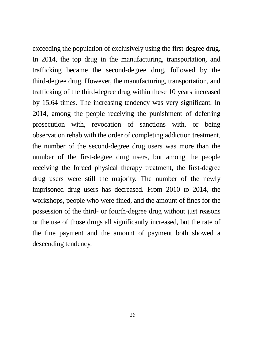exceeding the population of exclusively using the first-degree drug. In 2014, the top drug in the manufacturing, transportation, and trafficking became the second-degree drug, followed by the third-degree drug. However, the manufacturing, transportation, and trafficking of the third-degree drug within these 10 years increased by 15.64 times. The increasing tendency was very significant. In 2014, among the people receiving the punishment of deferring prosecution with, revocation of sanctions with, or being observation rehab with the order of completing addiction treatment, the number of the second-degree drug users was more than the number of the first-degree drug users, but among the people receiving the forced physical therapy treatment, the first-degree drug users were still the majority. The number of the newly imprisoned drug users has decreased. From 2010 to 2014, the workshops, people who were fined, and the amount of fines for the possession of the third- or fourth-degree drug without just reasons or the use of those drugs all significantly increased, but the rate of the fine payment and the amount of payment both showed a descending tendency.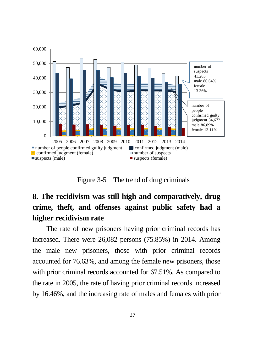

Figure 3-5 The trend of drug criminals

## **8. The recidivism was still high and comparatively, drug crime, theft, and offenses against public safety had a higher recidivism rate**

The rate of new prisoners having prior criminal records has increased. There were 26,082 persons (75.85%) in 2014. Among the male new prisoners, those with prior criminal records accounted for 76.63%, and among the female new prisoners, those with prior criminal records accounted for 67.51%. As compared to the rate in 2005, the rate of having prior criminal records increased by 16.46%, and the increasing rate of males and females with prior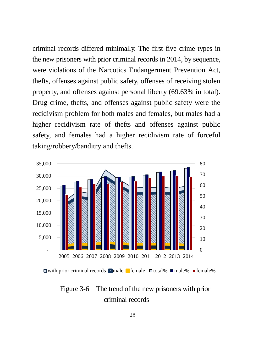criminal records differed minimally. The first five crime types in the new prisoners with prior criminal records in 2014, by sequence, were violations of the Narcotics Endangerment Prevention Act, thefts, offenses against public safety, offenses of receiving stolen property, and offenses against personal liberty (69.63% in total). Drug crime, thefts, and offenses against public safety were the recidivism problem for both males and females, but males had a higher recidivism rate of thefts and offenses against public safety, and females had a higher recidivism rate of forceful taking/robbery/banditry and thefts.



 $\Box$  with prior criminal records  $\Box$  male  $\Box$  female  $\Box$  total%  $\Box$  male%  $\Box$  female%

#### Figure 3-6 The trend of the new prisoners with prior criminal records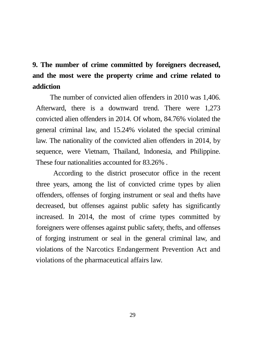## **9. The number of crime committed by foreigners decreased, and the most were the property crime and crime related to addiction**

The number of convicted alien offenders in 2010 was 1,406. Afterward, there is a downward trend. There were 1,273 convicted alien offenders in 2014. Of whom, 84.76% violated the general criminal law, and 15.24% violated the special criminal law. The nationality of the convicted alien offenders in 2014, by sequence, were Vietnam, Thailand, Indonesia, and Philippine. These four nationalities accounted for 83.26% .

According to the district prosecutor office in the recent three years, among the list of convicted crime types by alien offenders, offenses of forging instrument or seal and thefts have decreased, but offenses against public safety has significantly increased. In 2014, the most of crime types committed by foreigners were offenses against public safety, thefts, and offenses of forging instrument or seal in the general criminal law, and violations of the Narcotics Endangerment Prevention Act and violations of the pharmaceutical affairs law.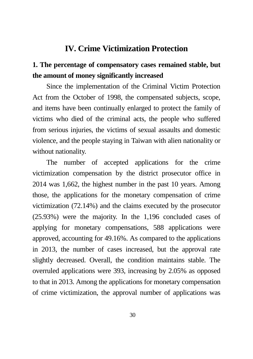#### **IV. Crime Victimization Protection**

### **1. The percentage of compensatory cases remained stable, but the amount of money significantly increased**

Since the implementation of the Criminal Victim Protection Act from the October of 1998, the compensated subjects, scope, and items have been continually enlarged to protect the family of victims who died of the criminal acts, the people who suffered from serious injuries, the victims of sexual assaults and domestic violence, and the people staying in Taiwan with alien nationality or without nationality.

The number of accepted applications for the crime victimization compensation by the district prosecutor office in 2014 was 1,662, the highest number in the past 10 years. Among those, the applications for the monetary compensation of crime victimization (72.14%) and the claims executed by the prosecutor (25.93%) were the majority. In the 1,196 concluded cases of applying for monetary compensations, 588 applications were approved, accounting for 49.16%. As compared to the applications in 2013, the number of cases increased, but the approval rate slightly decreased. Overall, the condition maintains stable. The overruled applications were 393, increasing by 2.05% as opposed to that in 2013. Among the applications for monetary compensation of crime victimization, the approval number of applications was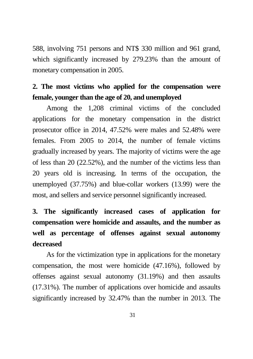588, involving 751 persons and NT\$ 330 million and 961 grand, which significantly increased by 279.23% than the amount of monetary compensation in 2005.

### **2. The most victims who applied for the compensation were female, younger than the age of 20, and unemployed**

Among the 1,208 criminal victims of the concluded applications for the monetary compensation in the district prosecutor office in 2014, 47.52% were males and 52.48% were females. From 2005 to 2014, the number of female victims gradually increased by years. The majority of victims were the age of less than 20 (22.52%), and the number of the victims less than 20 years old is increasing. In terms of the occupation, the unemployed (37.75%) and blue-collar workers (13.99) were the most, and sellers and service personnel significantly increased.

## **3. The significantly increased cases of application for compensation were homicide and assaults, and the number as well as percentage of offenses against sexual autonomy decreased**

As for the victimization type in applications for the monetary compensation, the most were homicide (47.16%), followed by offenses against sexual autonomy (31.19%) and then assaults (17.31%). The number of applications over homicide and assaults significantly increased by 32.47% than the number in 2013. The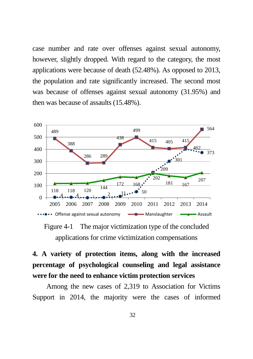case number and rate over offenses against sexual autonomy, however, slightly dropped. With regard to the category, the most applications were because of death (52.48%). As opposed to 2013, the population and rate significantly increased. The second most was because of offenses against sexual autonomy (31.95%) and then was because of assaults (15.48%).



Figure 4-1 The major victimization type of the concluded applications for crime victimization compensations

## **4. A variety of protection items, along with the increased percentage of psychological counseling and legal assistance were for the need to enhance victim protection services**

Among the new cases of 2,319 to Association for Victims Support in 2014, the majority were the cases of informed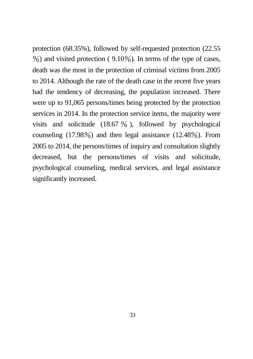protection (68.35%), followed by self-requested protection (22.55  $\%$ ) and visited protection (9.10%). In terms of the type of cases, death was the most in the protection of criminal victims from 2005 to 2014. Although the rate of the death case in the recent five years had the tendency of decreasing, the population increased. There were up to 91,065 persons/times being protected by the protection services in 2014. In the protection service items, the majority were visits and solicitude  $(18.67 \frac{9}{0})$ , followed by psychological counseling  $(17.98\%)$  and then legal assistance  $(12.48\%)$ . From 2005 to 2014, the persons/times of inquiry and consultation slightly decreased, but the persons/times of visits and solicitude, psychological counseling, medical services, and legal assistance significantly increased.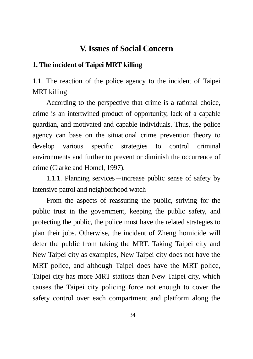#### **V. Issues of Social Concern**

#### **1. The incident of Taipei MRT killing**

1.1. The reaction of the police agency to the incident of Taipei MRT killing

According to the perspective that crime is a rational choice, crime is an intertwined product of opportunity, lack of a capable guardian, and motivated and capable individuals. Thus, the police agency can base on the situational crime prevention theory to develop various specific strategies to control criminal environments and further to prevent or diminish the occurrence of crime (Clarke and Homel, 1997).

1.1.1. Planning services—increase public sense of safety by intensive patrol and neighborhood watch

From the aspects of reassuring the public, striving for the public trust in the government, keeping the public safety, and protecting the public, the police must have the related strategies to plan their jobs. Otherwise, the incident of Zheng homicide will deter the public from taking the MRT. Taking Taipei city and New Taipei city as examples, New Taipei city does not have the MRT police, and although Taipei does have the MRT police, Taipei city has more MRT stations than New Taipei city, which causes the Taipei city policing force not enough to cover the safety control over each compartment and platform along the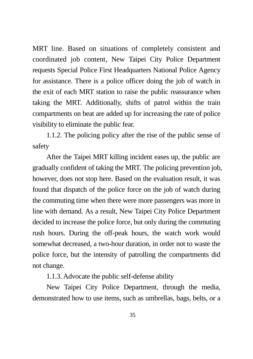MRT line. Based on situations of completely consistent and coordinated job content, New Taipei City Police Department requests Special Police First Headquarters National Police Agency for assistance. There is a police officer doing the job of watch in the exit of each MRT station to raise the public reassurance when taking the MRT. Additionally, shifts of patrol within the train compartments on beat are added up for increasing the rate of police visibility to eliminate the public fear.

1.1.2. The policing policy after the rise of the public sense of safety

After the Taipei MRT killing incident eases up, the public are gradually confident of taking the MRT. The policing prevention job, however, does not stop here. Based on the evaluation result, it was found that dispatch of the police force on the job of watch during the commuting time when there were more passengers was more in line with demand. As a result, New Taipei City Police Department decided to increase the police force, but only during the commuting rush hours. During the off-peak hours, the watch work would somewhat decreased, a two-hour duration, in order not to waste the police force, but the intensity of patrolling the compartments did not change.

1.1.3. Advocate the public self-defense ability

New Taipei City Police Department, through the media, demonstrated how to use items, such as umbrellas, bags, belts, or a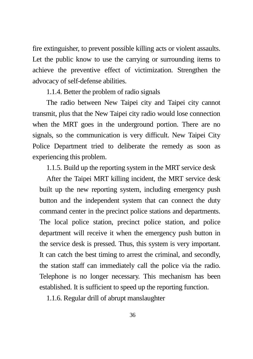fire extinguisher, to prevent possible killing acts or violent assaults. Let the public know to use the carrying or surrounding items to achieve the preventive effect of victimization. Strengthen the advocacy of self-defense abilities.

1.1.4. Better the problem of radio signals

The radio between New Taipei city and Taipei city cannot transmit, plus that the New Taipei city radio would lose connection when the MRT goes in the underground portion. There are no signals, so the communication is very difficult. New Taipei City Police Department tried to deliberate the remedy as soon as experiencing this problem.

1.1.5. Build up the reporting system in the MRT service desk

After the Taipei MRT killing incident, the MRT service desk built up the new reporting system, including emergency push button and the independent system that can connect the duty command center in the precinct police stations and departments. The local police station, precinct police station, and police department will receive it when the emergency push button in the service desk is pressed. Thus, this system is very important. It can catch the best timing to arrest the criminal, and secondly, the station staff can immediately call the police via the radio. Telephone is no longer necessary. This mechanism has been established. It is sufficient to speed up the reporting function.

1.1.6. Regular drill of abrupt manslaughter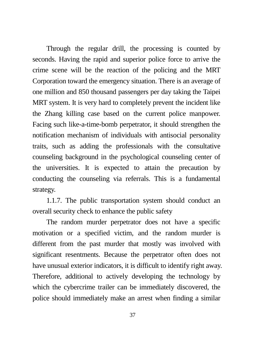Through the regular drill, the processing is counted by seconds. Having the rapid and superior police force to arrive the crime scene will be the reaction of the policing and the MRT Corporation toward the emergency situation. There is an average of one million and 850 thousand passengers per day taking the Taipei MRT system. It is very hard to completely prevent the incident like the Zhang killing case based on the current police manpower. Facing such like-a-time-bomb perpetrator, it should strengthen the notification mechanism of individuals with antisocial personality traits, such as adding the professionals with the consultative counseling background in the psychological counseling center of the universities. It is expected to attain the precaution by conducting the counseling via referrals. This is a fundamental strategy.

1.1.7. The public transportation system should conduct an overall security check to enhance the public safety

The random murder perpetrator does not have a specific motivation or a specified victim, and the random murder is different from the past murder that mostly was involved with significant resentments. Because the perpetrator often does not have unusual exterior indicators, it is difficult to identify right away. Therefore, additional to actively developing the technology by which the cybercrime trailer can be immediately discovered, the police should immediately make an arrest when finding a similar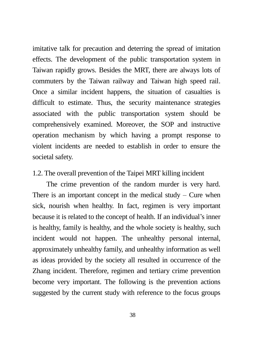imitative talk for precaution and deterring the spread of imitation effects. The development of the public transportation system in Taiwan rapidly grows. Besides the MRT, there are always lots of commuters by the Taiwan railway and Taiwan high speed rail. Once a similar incident happens, the situation of casualties is difficult to estimate. Thus, the security maintenance strategies associated with the public transportation system should be comprehensively examined. Moreover, the SOP and instructive operation mechanism by which having a prompt response to violent incidents are needed to establish in order to ensure the societal safety.

#### 1.2. The overall prevention of the Taipei MRT killing incident

The crime prevention of the random murder is very hard. There is an important concept in the medical study – Cure when sick, nourish when healthy. In fact, regimen is very important because it is related to the concept of health. If an individual's inner is healthy, family is healthy, and the whole society is healthy, such incident would not happen. The unhealthy personal internal, approximately unhealthy family, and unhealthy information as well as ideas provided by the society all resulted in occurrence of the Zhang incident. Therefore, regimen and tertiary crime prevention become very important. The following is the prevention actions suggested by the current study with reference to the focus groups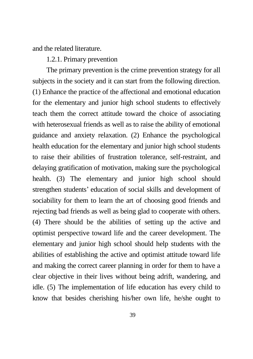and the related literature.

1.2.1. Primary prevention

The primary prevention is the crime prevention strategy for all subjects in the society and it can start from the following direction. (1) Enhance the practice of the affectional and emotional education for the elementary and junior high school students to effectively teach them the correct attitude toward the choice of associating with heterosexual friends as well as to raise the ability of emotional guidance and anxiety relaxation. (2) Enhance the psychological health education for the elementary and junior high school students to raise their abilities of frustration tolerance, self-restraint, and delaying gratification of motivation, making sure the psychological health. (3) The elementary and junior high school should strengthen students' education of social skills and development of sociability for them to learn the art of choosing good friends and rejecting bad friends as well as being glad to cooperate with others. (4) There should be the abilities of setting up the active and optimist perspective toward life and the career development. The elementary and junior high school should help students with the abilities of establishing the active and optimist attitude toward life and making the correct career planning in order for them to have a clear objective in their lives without being adrift, wandering, and idle. (5) The implementation of life education has every child to know that besides cherishing his/her own life, he/she ought to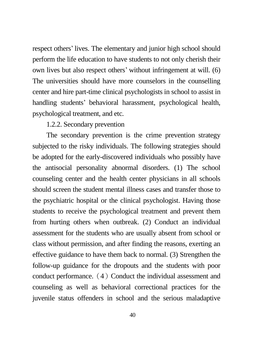respect others' lives. The elementary and junior high school should perform the life education to have students to not only cherish their own lives but also respect others' without infringement at will. (6) The universities should have more counselors in the counselling center and hire part-time clinical psychologists in school to assist in handling students' behavioral harassment, psychological health, psychological treatment, and etc.

#### 1.2.2. Secondary prevention

The secondary prevention is the crime prevention strategy subjected to the risky individuals. The following strategies should be adopted for the early-discovered individuals who possibly have the antisocial personality abnormal disorders. (1) The school counseling center and the health center physicians in all schools should screen the student mental illness cases and transfer those to the psychiatric hospital or the clinical psychologist. Having those students to receive the psychological treatment and prevent them from hurting others when outbreak. (2) Conduct an individual assessment for the students who are usually absent from school or class without permission, and after finding the reasons, exerting an effective guidance to have them back to normal. (3) Strengthen the follow-up guidance for the dropouts and the students with poor conduct performance.  $(4)$  Conduct the individual assessment and counseling as well as behavioral correctional practices for the juvenile status offenders in school and the serious maladaptive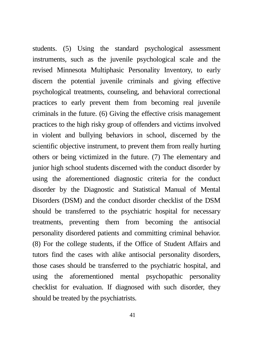students. (5) Using the standard psychological assessment instruments, such as the juvenile psychological scale and the revised Minnesota Multiphasic Personality Inventory, to early discern the potential juvenile criminals and giving effective psychological treatments, counseling, and behavioral correctional practices to early prevent them from becoming real juvenile criminals in the future. (6) Giving the effective crisis management practices to the high risky group of offenders and victims involved in violent and bullying behaviors in school, discerned by the scientific objective instrument, to prevent them from really hurting others or being victimized in the future. (7) The elementary and junior high school students discerned with the conduct disorder by using the aforementioned diagnostic criteria for the conduct disorder by the Diagnostic and Statistical Manual of Mental Disorders (DSM) and the conduct disorder checklist of the DSM should be transferred to the psychiatric hospital for necessary treatments, preventing them from becoming the antisocial personality disordered patients and committing criminal behavior. (8) For the college students, if the Office of Student Affairs and tutors find the cases with alike antisocial personality disorders, those cases should be transferred to the psychiatric hospital, and using the aforementioned mental psychopathic personality checklist for evaluation. If diagnosed with such disorder, they should be treated by the psychiatrists.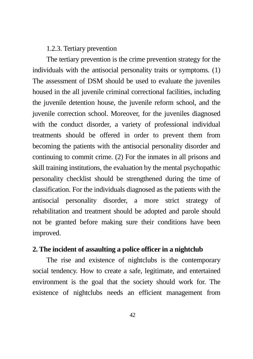#### 1.2.3. Tertiary prevention

The tertiary prevention is the crime prevention strategy for the individuals with the antisocial personality traits or symptoms. (1) The assessment of DSM should be used to evaluate the juveniles housed in the all juvenile criminal correctional facilities, including the juvenile detention house, the juvenile reform school, and the juvenile correction school. Moreover, for the juveniles diagnosed with the conduct disorder, a variety of professional individual treatments should be offered in order to prevent them from becoming the patients with the antisocial personality disorder and continuing to commit crime. (2) For the inmates in all prisons and skill training institutions, the evaluation by the mental psychopathic personality checklist should be strengthened during the time of classification. For the individuals diagnosed as the patients with the antisocial personality disorder, a more strict strategy of rehabilitation and treatment should be adopted and parole should not be granted before making sure their conditions have been improved.

#### **2. The incident of assaulting a police officer in a nightclub**

The rise and existence of nightclubs is the contemporary social tendency. How to create a safe, legitimate, and entertained environment is the goal that the society should work for. The existence of nightclubs needs an efficient management from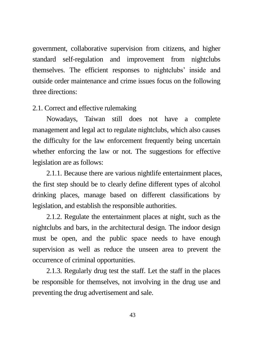government, collaborative supervision from citizens, and higher standard self-regulation and improvement from nightclubs themselves. The efficient responses to nightclubs' inside and outside order maintenance and crime issues focus on the following three directions:

#### 2.1. Correct and effective rulemaking

Nowadays, Taiwan still does not have a complete management and legal act to regulate nightclubs, which also causes the difficulty for the law enforcement frequently being uncertain whether enforcing the law or not. The suggestions for effective legislation are as follows:

2.1.1. Because there are various nightlife entertainment places, the first step should be to clearly define different types of alcohol drinking places, manage based on different classifications by legislation, and establish the responsible authorities.

2.1.2. Regulate the entertainment places at night, such as the nightclubs and bars, in the architectural design. The indoor design must be open, and the public space needs to have enough supervision as well as reduce the unseen area to prevent the occurrence of criminal opportunities.

2.1.3. Regularly drug test the staff. Let the staff in the places be responsible for themselves, not involving in the drug use and preventing the drug advertisement and sale.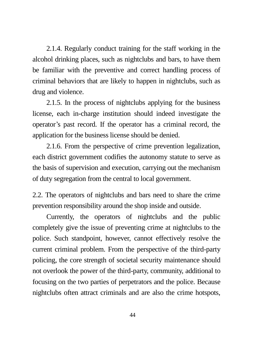2.1.4. Regularly conduct training for the staff working in the alcohol drinking places, such as nightclubs and bars, to have them be familiar with the preventive and correct handling process of criminal behaviors that are likely to happen in nightclubs, such as drug and violence.

2.1.5. In the process of nightclubs applying for the business license, each in-charge institution should indeed investigate the operator's past record. If the operator has a criminal record, the application for the business license should be denied.

2.1.6. From the perspective of crime prevention legalization, each district government codifies the autonomy statute to serve as the basis of supervision and execution, carrying out the mechanism of duty segregation from the central to local government.

2.2. The operators of nightclubs and bars need to share the crime prevention responsibility around the shop inside and outside.

Currently, the operators of nightclubs and the public completely give the issue of preventing crime at nightclubs to the police. Such standpoint, however, cannot effectively resolve the current criminal problem. From the perspective of the third-party policing, the core strength of societal security maintenance should not overlook the power of the third-party, community, additional to focusing on the two parties of perpetrators and the police. Because nightclubs often attract criminals and are also the crime hotspots,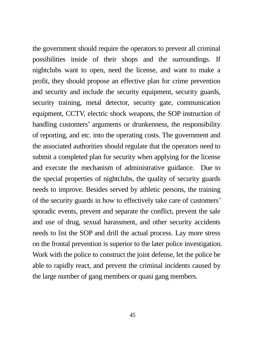the government should require the operators to prevent all criminal possibilities inside of their shops and the surroundings. If nightclubs want to open, need the license, and want to make a profit, they should propose an effective plan for crime prevention and security and include the security equipment, security guards, security training, metal detector, security gate, communication equipment, CCTV, electric shock weapons, the SOP instruction of handling customers' arguments or drunkenness, the responsibility of reporting, and etc. into the operating costs. The government and the associated authorities should regulate that the operators need to submit a completed plan for security when applying for the license and execute the mechanism of administrative guidance. Due to the special properties of nightclubs, the quality of security guards needs to improve. Besides served by athletic persons, the training of the security guards in how to effectively take care of customers' sporadic events, prevent and separate the conflict, prevent the sale and use of drug, sexual harassment, and other security accidents needs to list the SOP and drill the actual process. Lay more stress on the frontal prevention is superior to the later police investigation. Work with the police to construct the joint defense, let the police be able to rapidly react, and prevent the criminal incidents caused by the large number of gang members or quasi gang members.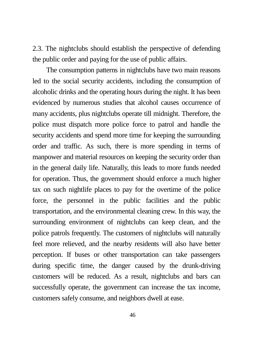2.3. The nightclubs should establish the perspective of defending the public order and paying for the use of public affairs.

The consumption patterns in nightclubs have two main reasons led to the social security accidents, including the consumption of alcoholic drinks and the operating hours during the night. It has been evidenced by numerous studies that alcohol causes occurrence of many accidents, plus nightclubs operate till midnight. Therefore, the police must dispatch more police force to patrol and handle the security accidents and spend more time for keeping the surrounding order and traffic. As such, there is more spending in terms of manpower and material resources on keeping the security order than in the general daily life. Naturally, this leads to more funds needed for operation. Thus, the government should enforce a much higher tax on such nightlife places to pay for the overtime of the police force, the personnel in the public facilities and the public transportation, and the environmental cleaning crew. In this way, the surrounding environment of nightclubs can keep clean, and the police patrols frequently. The customers of nightclubs will naturally feel more relieved, and the nearby residents will also have better perception. If buses or other transportation can take passengers during specific time, the danger caused by the drunk-driving customers will be reduced. As a result, nightclubs and bars can successfully operate, the government can increase the tax income, customers safely consume, and neighbors dwell at ease.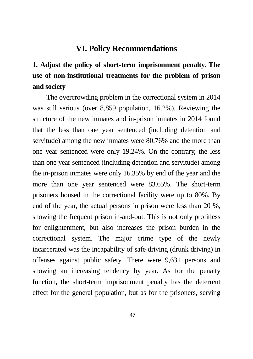#### **VI. Policy Recommendations**

## **1. Adjust the policy of short-term imprisonment penalty. The use of non-institutional treatments for the problem of prison and society**

The overcrowding problem in the correctional system in 2014 was still serious (over 8,859 population, 16.2%). Reviewing the structure of the new inmates and in-prison inmates in 2014 found that the less than one year sentenced (including detention and servitude) among the new inmates were 80.76% and the more than one year sentenced were only 19.24%. On the contrary, the less than one year sentenced (including detention and servitude) among the in-prison inmates were only 16.35% by end of the year and the more than one year sentenced were 83.65%. The short-term prisoners housed in the correctional facility were up to 80%. By end of the year, the actual persons in prison were less than 20 %, showing the frequent prison in-and-out. This is not only profitless for enlightenment, but also increases the prison burden in the correctional system. The major crime type of the newly incarcerated was the incapability of safe driving (drunk driving) in offenses against public safety. There were 9,631 persons and showing an increasing tendency by year. As for the penalty function, the short-term imprisonment penalty has the deterrent effect for the general population, but as for the prisoners, serving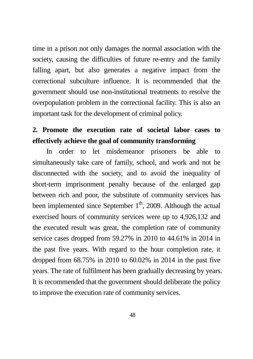time in a prison not only damages the normal association with the society, causing the difficulties of future re-entry and the family falling apart, but also generates a negative impact from the correctional subculture influence. It is recommended that the government should use non-institutional treatments to resolve the overpopulation problem in the correctional facility. This is also an important task for the development of criminal policy.

### **2. Promote the execution rate of societal labor cases to effectively achieve the goal of community transforming**

In order to let misdemeanor prisoners be able to simultaneously take care of family, school, and work and not be disconnected with the society, and to avoid the inequality of short-term imprisonment penalty because of the enlarged gap between rich and poor, the substitute of community services has been implemented since September  $1<sup>th</sup>$ , 2009. Although the actual exercised hours of community services were up to 4,926,132 and the executed result was great, the completion rate of community service cases dropped from 59.27% in 2010 to 44.61% in 2014 in the past five years. With regard to the hour completion rate, it dropped from 68.75% in 2010 to 60.02% in 2014 in the past five years. The rate of fulfilment has been gradually decreasing by years. It is recommended that the government should deliberate the policy to improve the execution rate of community services.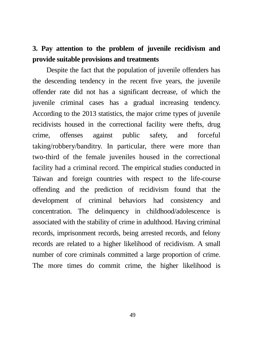### **3. Pay attention to the problem of juvenile recidivism and provide suitable provisions and treatments**

Despite the fact that the population of juvenile offenders has the descending tendency in the recent five years, the juvenile offender rate did not has a significant decrease, of which the juvenile criminal cases has a gradual increasing tendency. According to the 2013 statistics, the major crime types of juvenile recidivists housed in the correctional facility were thefts, drug crime, offenses against public safety, and forceful taking/robbery/banditry. In particular, there were more than two-third of the female juveniles housed in the correctional facility had a criminal record. The empirical studies conducted in Taiwan and foreign countries with respect to the life-course offending and the prediction of recidivism found that the development of criminal behaviors had consistency and concentration. The delinquency in childhood/adolescence is associated with the stability of crime in adulthood. Having criminal records, imprisonment records, being arrested records, and felony records are related to a higher likelihood of recidivism. A small number of core criminals committed a large proportion of crime. The more times do commit crime, the higher likelihood is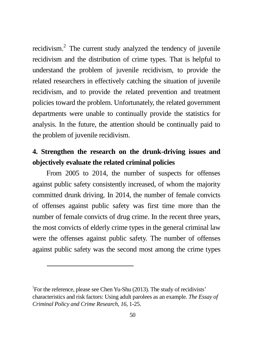recidivism. $2$  The current study analyzed the tendency of juvenile recidivism and the distribution of crime types. That is helpful to understand the problem of juvenile recidivism, to provide the related researchers in effectively catching the situation of juvenile recidivism, and to provide the related prevention and treatment policies toward the problem. Unfortunately, the related government departments were unable to continually provide the statistics for analysis. In the future, the attention should be continually paid to the problem of juvenile recidivism.

### **4. Strengthen the research on the drunk-driving issues and objectively evaluate the related criminal policies**

From 2005 to 2014, the number of suspects for offenses against public safety consistently increased, of whom the majority committed drunk driving. In 2014, the number of female convicts of offenses against public safety was first time more than the number of female convicts of drug crime. In the recent three years, the most convicts of elderly crime types in the general criminal law were the offenses against public safety. The number of offenses against public safety was the second most among the crime types

 $\overline{a}$ 

 $2^2$ For the reference, please see Chen Yu-Shu (2013). The study of recidivists' characteristics and risk factors: Using adult parolees as an example. *The Essay of Criminal Policy and Crime Research, 16*, 1-25.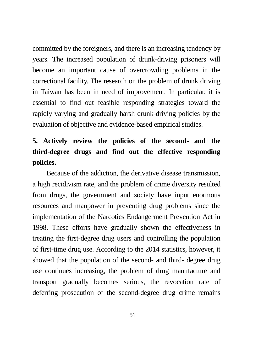committed by the foreigners, and there is an increasing tendency by years. The increased population of drunk-driving prisoners will become an important cause of overcrowding problems in the correctional facility. The research on the problem of drunk driving in Taiwan has been in need of improvement. In particular, it is essential to find out feasible responding strategies toward the rapidly varying and gradually harsh drunk-driving policies by the evaluation of objective and evidence-based empirical studies.

## **5. Actively review the policies of the second- and the third-degree drugs and find out the effective responding policies.**

Because of the addiction, the derivative disease transmission, a high recidivism rate, and the problem of crime diversity resulted from drugs, the government and society have input enormous resources and manpower in preventing drug problems since the implementation of the Narcotics Endangerment Prevention Act in 1998. These efforts have gradually shown the effectiveness in treating the first-degree drug users and controlling the population of first-time drug use. According to the 2014 statistics, however, it showed that the population of the second- and third- degree drug use continues increasing, the problem of drug manufacture and transport gradually becomes serious, the revocation rate of deferring prosecution of the second-degree drug crime remains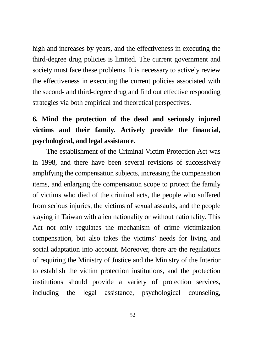high and increases by years, and the effectiveness in executing the third-degree drug policies is limited. The current government and society must face these problems. It is necessary to actively review the effectiveness in executing the current policies associated with the second- and third-degree drug and find out effective responding strategies via both empirical and theoretical perspectives.

## **6. Mind the protection of the dead and seriously injured victims and their family. Actively provide the financial, psychological, and legal assistance.**

The establishment of the Criminal Victim Protection Act was in 1998, and there have been several revisions of successively amplifying the compensation subjects, increasing the compensation items, and enlarging the compensation scope to protect the family of victims who died of the criminal acts, the people who suffered from serious injuries, the victims of sexual assaults, and the people staying in Taiwan with alien nationality or without nationality. This Act not only regulates the mechanism of crime victimization compensation, but also takes the victims' needs for living and social adaptation into account. Moreover, there are the regulations of requiring the Ministry of Justice and the Ministry of the Interior to establish the victim protection institutions, and the protection institutions should provide a variety of protection services, including the legal assistance, psychological counseling,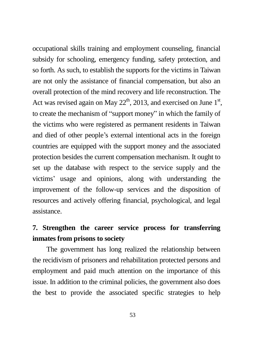occupational skills training and employment counseling, financial subsidy for schooling, emergency funding, safety protection, and so forth. As such, to establish the supports for the victims in Taiwan are not only the assistance of financial compensation, but also an overall protection of the mind recovery and life reconstruction. The Act was revised again on May  $22<sup>th</sup>$ , 2013, and exercised on June  $1<sup>st</sup>$ , to create the mechanism of "support money" in which the family of the victims who were registered as permanent residents in Taiwan and died of other people's external intentional acts in the foreign countries are equipped with the support money and the associated protection besides the current compensation mechanism. It ought to set up the database with respect to the service supply and the victims' usage and opinions, along with understanding the improvement of the follow-up services and the disposition of resources and actively offering financial, psychological, and legal assistance.

### **7. Strengthen the career service process for transferring inmates from prisons to society**

The government has long realized the relationship between the recidivism of prisoners and rehabilitation protected persons and employment and paid much attention on the importance of this issue. In addition to the criminal policies, the government also does the best to provide the associated specific strategies to help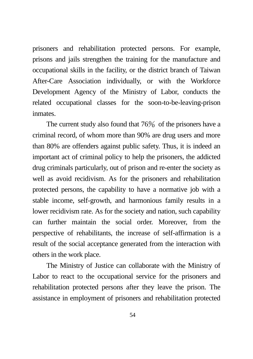prisoners and rehabilitation protected persons. For example, prisons and jails strengthen the training for the manufacture and occupational skills in the facility, or the district branch of Taiwan After-Care Association individually, or with the Workforce Development Agency of the Ministry of Labor, conducts the related occupational classes for the soon-to-be-leaving-prison inmates.

The current study also found that  $76\%$  of the prisoners have a criminal record, of whom more than 90% are drug users and more than 80% are offenders against public safety. Thus, it is indeed an important act of criminal policy to help the prisoners, the addicted drug criminals particularly, out of prison and re-enter the society as well as avoid recidivism. As for the prisoners and rehabilitation protected persons, the capability to have a normative job with a stable income, self-growth, and harmonious family results in a lower recidivism rate. As for the society and nation, such capability can further maintain the social order. Moreover, from the perspective of rehabilitants, the increase of self-affirmation is a result of the social acceptance generated from the interaction with others in the work place.

The Ministry of Justice can collaborate with the Ministry of Labor to react to the occupational service for the prisoners and rehabilitation protected persons after they leave the prison. The assistance in employment of prisoners and rehabilitation protected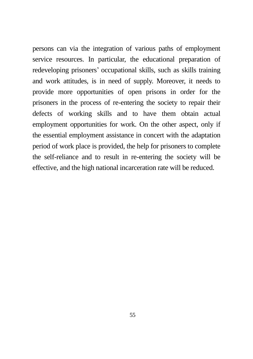persons can via the integration of various paths of employment service resources. In particular, the educational preparation of redeveloping prisoners' occupational skills, such as skills training and work attitudes, is in need of supply. Moreover, it needs to provide more opportunities of open prisons in order for the prisoners in the process of re-entering the society to repair their defects of working skills and to have them obtain actual employment opportunities for work. On the other aspect, only if the essential employment assistance in concert with the adaptation period of work place is provided, the help for prisoners to complete the self-reliance and to result in re-entering the society will be effective, and the high national incarceration rate will be reduced.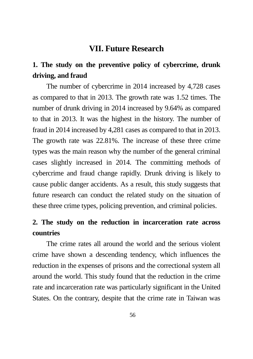#### **VII. Future Research**

### **1. The study on the preventive policy of cybercrime, drunk driving, and fraud**

The number of cybercrime in 2014 increased by 4,728 cases as compared to that in 2013. The growth rate was 1.52 times. The number of drunk driving in 2014 increased by 9.64% as compared to that in 2013. It was the highest in the history. The number of fraud in 2014 increased by 4,281 cases as compared to that in 2013. The growth rate was 22.81%. The increase of these three crime types was the main reason why the number of the general criminal cases slightly increased in 2014. The committing methods of cybercrime and fraud change rapidly. Drunk driving is likely to cause public danger accidents. As a result, this study suggests that future research can conduct the related study on the situation of these three crime types, policing prevention, and criminal policies.

#### **2. The study on the reduction in incarceration rate across countries**

The crime rates all around the world and the serious violent crime have shown a descending tendency, which influences the reduction in the expenses of prisons and the correctional system all around the world. This study found that the reduction in the crime rate and incarceration rate was particularly significant in the United States. On the contrary, despite that the crime rate in Taiwan was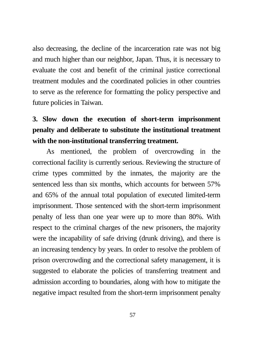also decreasing, the decline of the incarceration rate was not big and much higher than our neighbor, Japan. Thus, it is necessary to evaluate the cost and benefit of the criminal justice correctional treatment modules and the coordinated policies in other countries to serve as the reference for formatting the policy perspective and future policies in Taiwan.

## **3. Slow down the execution of short-term imprisonment penalty and deliberate to substitute the institutional treatment with the non-institutional transferring treatment.**

As mentioned, the problem of overcrowding in the correctional facility is currently serious. Reviewing the structure of crime types committed by the inmates, the majority are the sentenced less than six months, which accounts for between 57% and 65% of the annual total population of executed limited-term imprisonment. Those sentenced with the short-term imprisonment penalty of less than one year were up to more than 80%. With respect to the criminal charges of the new prisoners, the majority were the incapability of safe driving (drunk driving), and there is an increasing tendency by years. In order to resolve the problem of prison overcrowding and the correctional safety management, it is suggested to elaborate the policies of transferring treatment and admission according to boundaries, along with how to mitigate the negative impact resulted from the short-term imprisonment penalty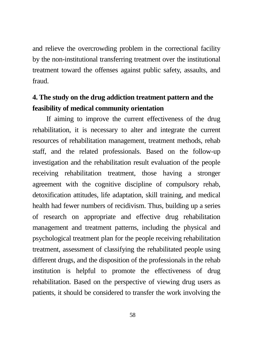and relieve the overcrowding problem in the correctional facility by the non-institutional transferring treatment over the institutional treatment toward the offenses against public safety, assaults, and fraud.

### **4. The study on the drug addiction treatment pattern and the feasibility of medical community orientation**

If aiming to improve the current effectiveness of the drug rehabilitation, it is necessary to alter and integrate the current resources of rehabilitation management, treatment methods, rehab staff, and the related professionals. Based on the follow-up investigation and the rehabilitation result evaluation of the people receiving rehabilitation treatment, those having a stronger agreement with the cognitive discipline of compulsory rehab, detoxification attitudes, life adaptation, skill training, and medical health had fewer numbers of recidivism. Thus, building up a series of research on appropriate and effective drug rehabilitation management and treatment patterns, including the physical and psychological treatment plan for the people receiving rehabilitation treatment, assessment of classifying the rehabilitated people using different drugs, and the disposition of the professionals in the rehab institution is helpful to promote the effectiveness of drug rehabilitation. Based on the perspective of viewing drug users as patients, it should be considered to transfer the work involving the